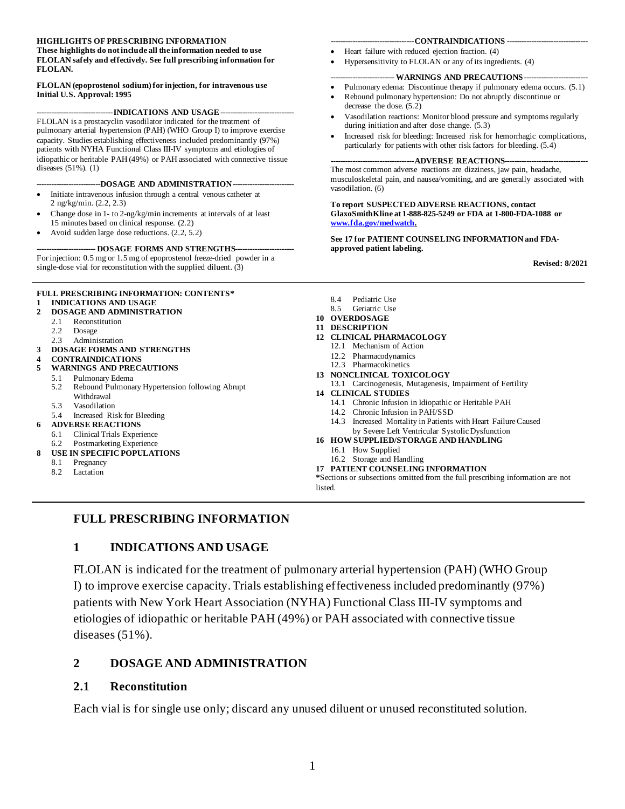#### **HIGHLIGHTS OF PRESCRIBING INFORMATION**

#### **These highlights do not include all the information needed to use FLOLAN safely and effectively. See full prescribing information for FLOLAN.**

#### **FLOLAN (epoprostenol sodium) for injection, for intravenous use Initial U.S. Approval: 1995**

---INDICATIONS AND USAGE--

FLOLAN is a prostacyclin vasodilator indicated for the treatment of pulmonary arterial hypertension (PAH) (WHO Group I) to improve exercise capacity. Studies establishing effectiveness included predominantly (97%) patients with NYHA Functional Class III-IV symptoms and etiologies of idiopathic or heritable PAH (49%) or PAH associated with connective tissue diseases (51%). (1)

#### **---DOSAGE AND ADMINISTRATION---**

- Initiate intravenous infusion through a central venous catheter at 2 ng/kg/min. (2.2, 2.3)
- Change dose in 1- to 2-ng/kg/min increments at intervals of at least 15 minutes based on clinical response. (2.2)
- Avoid sudden large dose reductions. (2.2, 5.2)

**------------------------ DOSAGE FORMS AND STRENGTHS------------------------** For injection: 0.5 mg or 1.5 mg of epoprostenol freeze-dried powder in a single-dose vial for reconstitution with the supplied diluent. (3)

#### **FULL PRESCRIBING INFORMATION: CONTENTS\* 1 [INDICATIONS AND USAGE](#page-0-0)**

- **2 [DOSAGE AND ADMINISTRATION](#page-0-1)**
- 2.1 [Reconstitution](#page-0-2)
	- 2.2 [Dosage](#page-2-0)
	- 2.3 [Administration](#page-2-1)
- **3 [DOSAGE FORMS AND STRENGTHS](#page-3-0)**
- **4 [CONTRAINDICATIONS](#page-4-0)**
- **5 [WARNINGS AND PRECAUTIONS](#page-4-1)**
	- 5.1 [Pulmonary Edema](#page-4-2)
	- 5.2 [Rebound Pulmonary Hypertension following Abrupt](#page-4-3)  [Withdrawal](#page-4-3)
	- 5.3 [Vasodilation](#page-4-4)
	- 5.4 [Increased Risk for Bleeding](#page-4-5)

#### **6 [ADVERSE REACTIONS](#page-4-6)**

- 6.1 [Clinical Trials Experience](#page-4-7)
- 6.2 [Postmarketing Experience](#page-6-0)
- **8 [USE IN SPECIFIC POPULATIONS](#page-6-1)**
	- 8.1 [Pregnancy](#page-6-2)
	- 8.2 [Lactation](#page-7-0)

#### **----------------------------------CONTRAINDICATIONS ---------------------------------**

- Heart failure with reduced ejection fraction. (4)
- Hypersensitivity to FLOLAN or any of its ingredients. (4)

#### **-- WARNINGS AND PRECAUTIONS --**

- Pulmonary edema: Discontinue therapy if pulmonary edema occurs. (5.1)
- Rebound pulmonary hypertension: Do not abruptly discontinue or decrease the dose. (5.2)
- Vasodilation reactions: Monitor blood pressure and symptoms regularly during initiation and after dose change. (5.3)
- Increased risk for bleeding: Increased risk for hemorrhagic complications, particularly for patients with other risk factors for bleeding. (5.4)

#### **------ADVERSE REACTIONS--**

The most common adverse reactions are dizziness, jaw pain, headache, musculoskeletal pain, and nausea/vomiting, and are generally associated with vasodilation. (6)

**To report SUSPECTED ADVERSE REACTIONS, contact GlaxoSmithKline at 1-888-825-5249 or FDA at 1-800-FDA-1088 or [www.fda.gov/medwatch.](https://www.fda.gov/Safety/MedWatch/default.htm)**

**See 17 for PATIENT COUNSELING INFORMATION and FDAapproved patient labeling.**

**Revised: 8/2021**

- 8.4 [Pediatric Use](#page-7-1)<br>8.5 Geriatric Use
- [Geriatric Use](#page-7-2)
- **10 [OVERDOSAGE](#page-7-3)**
- **11 [DESCRIPTION](#page-8-0)**
- **12 [CLINICAL PHARMACOLOGY](#page-9-0)**
	- 12.1 [Mechanism of Action](#page-9-1)
		- 12.2 [Pharmacodynamics](#page-9-2)
		- 12.3 [Pharmacokinetics](#page-9-3)
- **13 [NONCLINICAL TOXICOLOGY](#page-10-0)**
	- 13.1 [Carcinogenesis, Mutagenesis, Impairment of Fertility](#page-10-1)
- **14 [CLINICAL STUDIES](#page-11-0)**
	- 14.1 [Chronic Infusion in Idiopathic or Heritable PAH](#page-11-1)
	- 14.2 [Chronic Infusion in PAH/SSD](#page-13-0)
	- 14.3 [Increased Mortality in Patients with Heart Failure Caused](#page-15-0)  [by Severe Left Ventricular Systolic Dysfunction](#page-15-0)
- **16 [HOW SUPPLIED/STORAGE AND HANDLING](#page-15-1)**
	- 16.1 [How Supplied](#page-15-2)
	- 16.2 [Storage and Handling](#page-15-3)
- **17 [PATIENT COUNSELING INFORMATION](#page-15-4)**

**\***Sections or subsections omitted from the full prescribing information are not listed.

#### <span id="page-0-0"></span>**FULL PRESCRIBING INFORMATION**

#### **1 INDICATIONS AND USAGE**

FLOLAN is indicated for the treatment of pulmonary arterial hypertension (PAH) (WHO Group I) to improve exercise capacity. Trials establishing effectiveness included predominantly (97%) patients with New York Heart Association (NYHA) Functional Class III-IV symptoms and etiologies of idiopathic or heritable PAH (49%) or PAH associated with connective tissue diseases (51%).

#### <span id="page-0-1"></span>**2 DOSAGE AND ADMINISTRATION**

#### <span id="page-0-2"></span>**2.1 Reconstitution**

Each vial is for single use only; discard any unused diluent or unused reconstituted solution.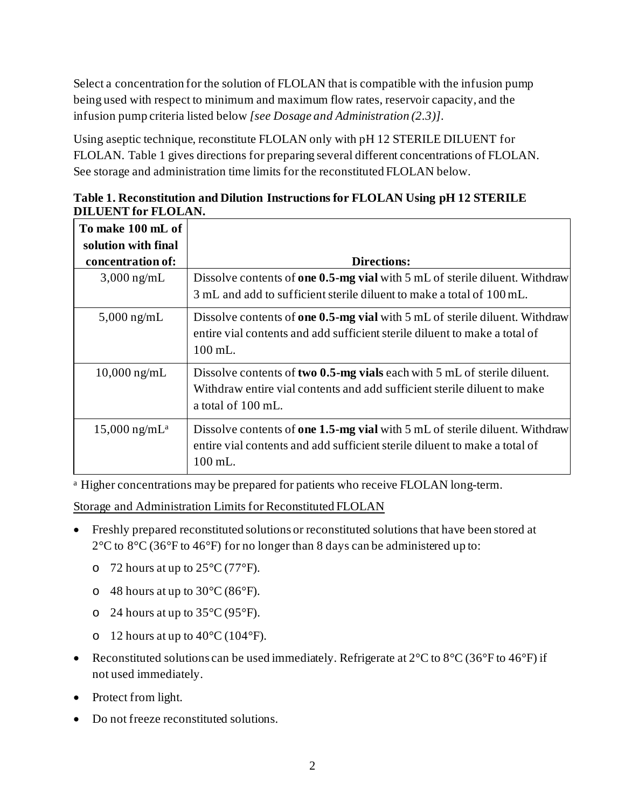Select a concentration for the solution of FLOLAN that is compatible with the infusion pump being used with respect to minimum and maximum flow rates, reservoir capacity, and the infusion pump criteria listed below *[see Dosage and Administration (2.3)]*.

Using aseptic technique, reconstitute FLOLAN only with pH 12 STERILE DILUENT for FLOLAN. Table 1 gives directions for preparing several different concentrations of FLOLAN. See storage and administration time limits for the reconstituted FLOLAN below.

| To make 100 mL of<br>solution with final |                                                                                                                                                                                        |
|------------------------------------------|----------------------------------------------------------------------------------------------------------------------------------------------------------------------------------------|
| concentration of:                        | <b>Directions:</b>                                                                                                                                                                     |
| $3,000$ ng/mL                            | Dissolve contents of one 0.5-mg vial with 5 mL of sterile diluent. Withdraw<br>3 mL and add to sufficient sterile diluent to make a total of 100 mL.                                   |
| $5,000$ ng/mL                            | Dissolve contents of one $0.5$ -mg vial with 5 mL of sterile diluent. Withdraw<br>entire vial contents and add sufficient sterile diluent to make a total of<br>$100$ mL.              |
| $10,000 \,\mathrm{ng/mL}$                | Dissolve contents of two 0.5-mg vials each with 5 mL of sterile diluent.<br>Withdraw entire vial contents and add sufficient sterile diluent to make<br>a total of 100 mL.             |
| $15,000$ ng/mL <sup>a</sup>              | Dissolve contents of <b>one 1.5-mg vial</b> with 5 mL of sterile diluent. Withdraw<br>entire vial contents and add sufficient sterile diluent to make a total of<br>$100 \text{ mL}$ . |

**Table 1. Reconstitution and Dilution Instructions for FLOLAN Using pH 12 STERILE DILUENT for FLOLAN.**

<sup>a</sup> Higher concentrations may be prepared for patients who receive FLOLAN long-term.

Storage and Administration Limits for Reconstituted FLOLAN

- Freshly prepared reconstituted solutions or reconstituted solutions that have been stored at  $2^{\circ}$ C to  $8^{\circ}$ C (36 $^{\circ}$ F to 46 $^{\circ}$ F) for no longer than 8 days can be administered up to:
	- $\circ$  72 hours at up to 25 °C (77 °F).
	- $\circ$  48 hours at up to 30 °C (86 °F).
	- $\degree$  24 hours at up to 35 $\degree$ C (95 $\degree$ F).
	- o 12 hours at up to  $40^{\circ}$ C (104 $^{\circ}$ F).
- Reconstituted solutions can be used immediately. Refrigerate at  $2^{\circ}C$  to  $8^{\circ}C$  (36°F to 46°F) if not used immediately.
- Protect from light.
- Do not freeze reconstituted solutions.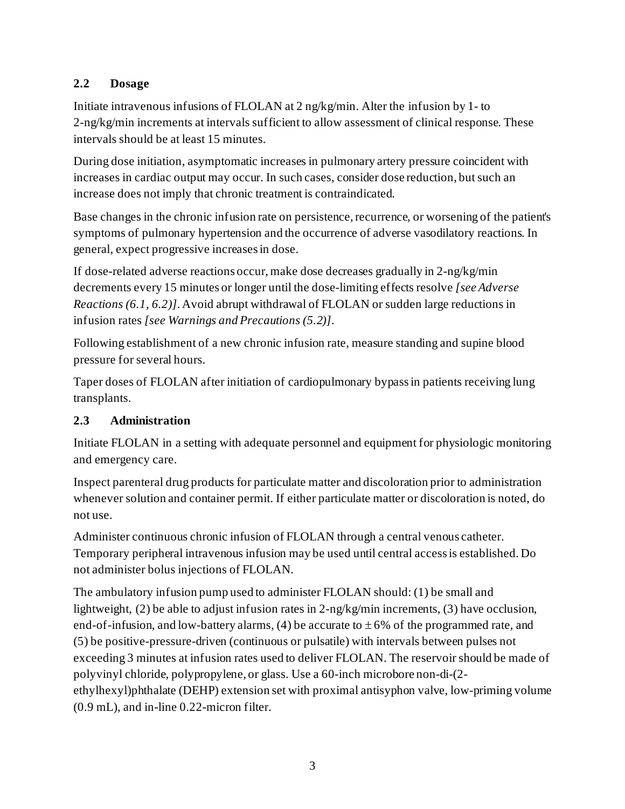## <span id="page-2-0"></span>**2.2 Dosage**

Initiate intravenous infusions of FLOLAN at 2 ng/kg/min. Alter the infusion by 1- to 2-ng/kg/min increments at intervals sufficient to allow assessment of clinical response. These intervals should be at least 15 minutes.

During dose initiation, asymptomatic increases in pulmonary artery pressure coincident with increases in cardiac output may occur. In such cases, consider dose reduction, but such an increase does not imply that chronic treatment is contraindicated.

Base changes in the chronic infusion rate on persistence, recurrence, or worsening of the patient's symptoms of pulmonary hypertension and the occurrence of adverse vasodilatory reactions. In general, expect progressive increases in dose.

If dose-related adverse reactions occur, make dose decreases gradually in 2-ng/kg/min decrements every 15 minutes or longer until the dose-limiting effects resolve *[see Adverse Reactions (6.1, 6.2)]*. Avoid abrupt withdrawal of FLOLAN or sudden large reductions in infusion rates *[see Warnings and Precautions (5.2)]*.

Following establishment of a new chronic infusion rate, measure standing and supine blood pressure for several hours.

Taper doses of FLOLAN after initiation of cardiopulmonary bypassin patients receiving lung transplants.

## <span id="page-2-1"></span>**2.3 Administration**

Initiate FLOLAN in a setting with adequate personnel and equipment for physiologic monitoring and emergency care.

Inspect parenteral drug products for particulate matter and discoloration prior to administration whenever solution and container permit. If either particulate matter or discoloration is noted, do not use.

Administer continuous chronic infusion of FLOLAN through a central venous catheter. Temporary peripheral intravenous infusion may be used until central access is established. Do not administer bolus injections of FLOLAN.

The ambulatory infusion pump used to administer FLOLAN should: (1) be small and lightweight, (2) be able to adjust infusion rates in  $2$ -ng/kg/min increments, (3) have occlusion, end-of-infusion, and low-battery alarms, (4) be accurate to  $\pm 6\%$  of the programmed rate, and (5) be positive-pressure-driven (continuous or pulsatile) with intervals between pulses not exceeding 3 minutes at infusion rates used to deliver FLOLAN. The reservoir should be made of polyvinyl chloride, polypropylene, or glass. Use a 60-inch microbore non-di-(2 ethylhexyl)phthalate (DEHP) extension set with proximal antisyphon valve, low-priming volume (0.9 mL), and in-line 0.22-micron filter.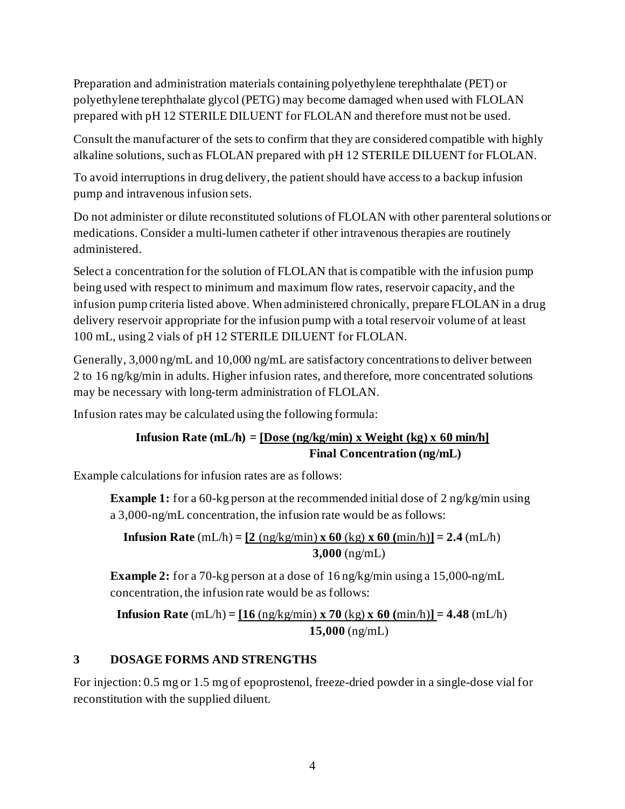Preparation and administration materials containing polyethylene terephthalate (PET) or polyethylene terephthalate glycol (PETG) may become damaged when used with FLOLAN prepared with pH 12 STERILE DILUENT for FLOLAN and therefore must not be used.

Consult the manufacturer of the sets to confirm that they are considered compatible with highly alkaline solutions, such as FLOLAN prepared with pH 12 STERILE DILUENT for FLOLAN.

To avoid interruptions in drug delivery, the patient should have access to a backup infusion pump and intravenous infusion sets.

Do not administer or dilute reconstituted solutions of FLOLAN with other parenteral solutions or medications. Consider a multi-lumen catheter if other intravenous therapies are routinely administered.

Select a concentration for the solution of FLOLAN that is compatible with the infusion pump being used with respect to minimum and maximum flow rates, reservoir capacity, and the infusion pump criteria listed above. When administered chronically, prepare FLOLAN in a drug delivery reservoir appropriate for the infusion pump with a total reservoir volume of at least 100 mL, using 2 vials of pH 12 STERILE DILUENT for FLOLAN.

Generally, 3,000 ng/mL and 10,000 ng/mL are satisfactory concentrations to deliver between 2 to 16 ng/kg/min in adults. Higher infusion rates, and therefore, more concentrated solutions may be necessary with long-term administration of FLOLAN.

Infusion rates may be calculated using the following formula:

## **Infusion Rate (mL/h) = [Dose (ng/kg/min) x Weight (kg) x 60 min/h] Final Concentration (ng/mL)**

Example calculations for infusion rates are as follows:

**Example 1:** for a 60-kg person at the recommended initial dose of 2 ng/kg/min using a 3,000-ng/mL concentration, the infusion rate would be as follows:

**Infusion Rate**  $(mL/h) = [2 (ng/kg/min) x 60 (kg) x 60 (min/h)] = 2.4 (mL/h)$ **3,000** (ng/mL)

**Example 2:** for a 70-kg person at a dose of 16 ng/kg/min using a 15,000-ng/mL concentration, the infusion rate would be as follows:

**Infusion Rate**  $(mL/h) = [16 (ng/kg/min) x 70 (kg) x 60 (min/h)] = 4.48 (mL/h)$ **15,000** (ng/mL)

## <span id="page-3-0"></span>**3 DOSAGE FORMS AND STRENGTHS**

For injection: 0.5 mg or 1.5 mg of epoprostenol, freeze-dried powder in a single-dose vial for reconstitution with the supplied diluent.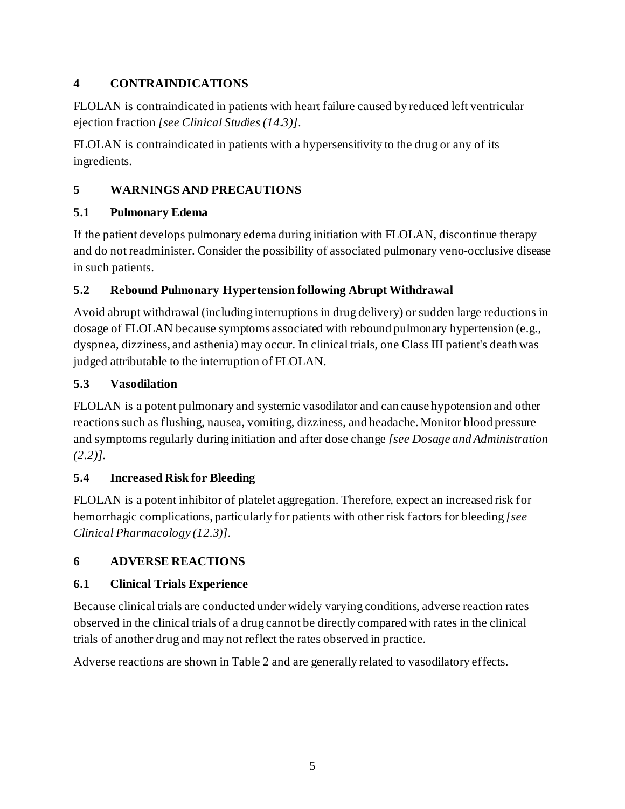## <span id="page-4-0"></span>**4 CONTRAINDICATIONS**

FLOLAN is contraindicated in patients with heart failure caused by reduced left ventricular ejection fraction *[see Clinical Studies (14.3)]*.

FLOLAN is contraindicated in patients with a hypersensitivity to the drug or any of its ingredients.

# <span id="page-4-1"></span>**5 WARNINGS AND PRECAUTIONS**

## <span id="page-4-2"></span>**5.1 Pulmonary Edema**

If the patient develops pulmonary edema during initiation with FLOLAN, discontinue therapy and do not readminister. Consider the possibility of associated pulmonary veno-occlusive disease in such patients.

# <span id="page-4-3"></span>**5.2 Rebound Pulmonary Hypertension following Abrupt Withdrawal**

Avoid abrupt withdrawal (including interruptions in drug delivery) or sudden large reductions in dosage of FLOLAN because symptoms associated with rebound pulmonary hypertension (e.g., dyspnea, dizziness, and asthenia) may occur. In clinical trials, one Class III patient's death was judged attributable to the interruption of FLOLAN.

# <span id="page-4-4"></span>**5.3 Vasodilation**

FLOLAN is a potent pulmonary and systemic vasodilator and can cause hypotension and other reactions such as flushing, nausea, vomiting, dizziness, and headache. Monitor blood pressure and symptoms regularly during initiation and after dose change *[see Dosage and Administration (2.2)].*

# <span id="page-4-5"></span>**5.4 Increased Risk for Bleeding**

FLOLAN is a potent inhibitor of platelet aggregation. Therefore, expect an increased risk for hemorrhagic complications, particularly for patients with other risk factors for bleeding *[see Clinical Pharmacology (12.3)]*.

# <span id="page-4-6"></span>**6 ADVERSE REACTIONS**

# <span id="page-4-7"></span>**6.1 Clinical Trials Experience**

Because clinical trials are conducted under widely varying conditions, adverse reaction rates observed in the clinical trials of a drug cannot be directly compared with rates in the clinical trials of another drug and may not reflect the rates observed in practice.

Adverse reactions are shown in Table 2 and are generally related to vasodilatory effects.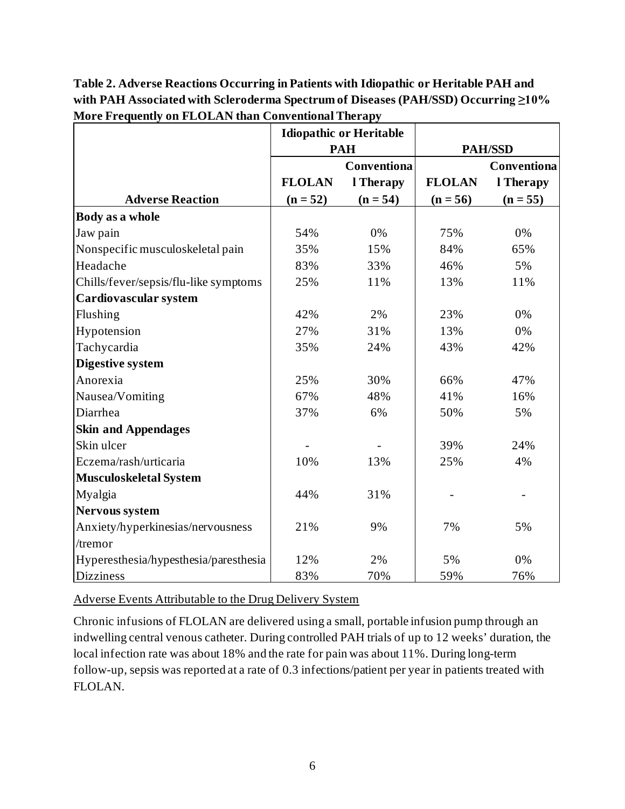**Table 2. Adverse Reactions Occurring in Patients with Idiopathic or Heritable PAH and with PAH Associated with Scleroderma Spectrum of Diseases (PAH/SSD) Occurring ≥10% More Frequently on FLOLAN than Conventional Therapy**

|                                       |               | <b>Idiopathic or Heritable</b> |                |             |
|---------------------------------------|---------------|--------------------------------|----------------|-------------|
|                                       | <b>PAH</b>    |                                | <b>PAH/SSD</b> |             |
|                                       |               | Conventiona                    |                | Conventiona |
|                                       | <b>FLOLAN</b> | l Therapy                      | <b>FLOLAN</b>  | l Therapy   |
| <b>Adverse Reaction</b>               | $(n = 52)$    | $(n = 54)$                     | $(n = 56)$     | $(n = 55)$  |
| Body as a whole                       |               |                                |                |             |
| Jaw pain                              | 54%           | 0%                             | 75%            | 0%          |
| Nonspecific musculoskeletal pain      | 35%           | 15%                            | 84%            | 65%         |
| Headache                              | 83%           | 33%                            | 46%            | 5%          |
| Chills/fever/sepsis/flu-like symptoms | 25%           | 11%                            | 13%            | 11%         |
| Cardiovascular system                 |               |                                |                |             |
| Flushing                              | 42%           | 2%                             | 23%            | 0%          |
| Hypotension                           | 27%           | 31%                            | 13%            | 0%          |
| Tachycardia                           | 35%           | 24%                            | 43%            | 42%         |
| <b>Digestive system</b>               |               |                                |                |             |
| Anorexia                              | 25%           | 30%                            | 66%            | 47%         |
| Nausea/Vomiting                       | 67%           | 48%                            | 41%            | 16%         |
| Diarrhea                              | 37%           | 6%                             | 50%            | 5%          |
| <b>Skin and Appendages</b>            |               |                                |                |             |
| Skin ulcer                            |               |                                | 39%            | 24%         |
| Eczema/rash/urticaria                 | 10%           | 13%                            | 25%            | 4%          |
| Musculoskeletal System                |               |                                |                |             |
| Myalgia                               | 44%           | 31%                            |                |             |
| <b>Nervous system</b>                 |               |                                |                |             |
| Anxiety/hyperkinesias/nervousness     | 21%           | 9%                             | 7%             | 5%          |
| /tremor                               |               |                                |                |             |
| Hyperesthesia/hypesthesia/paresthesia | 12%           | 2%                             | 5%             | 0%          |
| <b>Dizziness</b>                      | 83%           | 70%                            | 59%            | 76%         |

Adverse Events Attributable to the Drug Delivery System

Chronic infusions of FLOLAN are delivered using a small, portable infusion pump through an indwelling central venous catheter. During controlled PAH trials of up to 12 weeks' duration, the local infection rate was about 18% and the rate for pain was about 11%. During long-term follow-up, sepsis was reported at a rate of 0.3 infections/patient per year in patients treated with FLOLAN.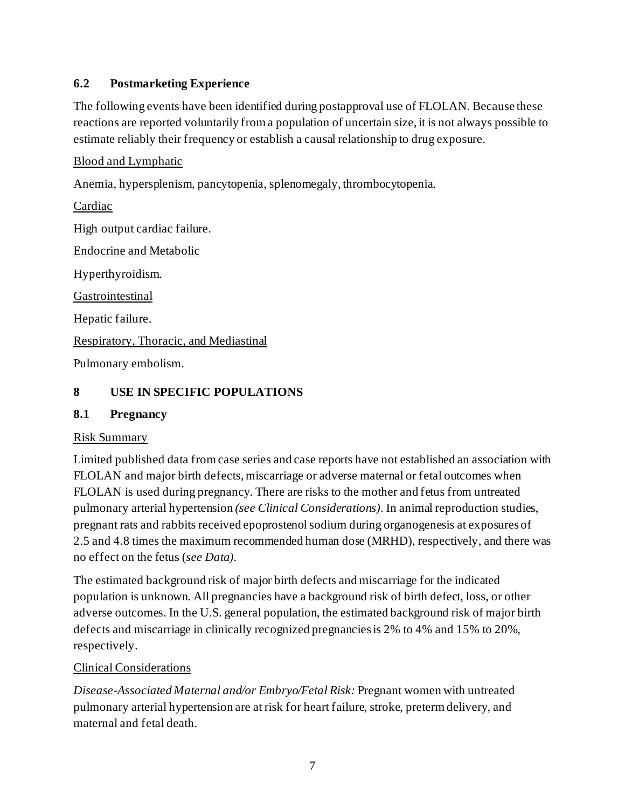## <span id="page-6-0"></span>**6.2 Postmarketing Experience**

The following events have been identified during postapproval use of FLOLAN. Because these reactions are reported voluntarily from a population of uncertain size, it is not always possible to estimate reliably their frequency or establish a causal relationship to drug exposure.

Blood and Lymphatic

Anemia, hypersplenism, pancytopenia, splenomegaly, thrombocytopenia.

Cardiac High output cardiac failure. Endocrine and Metabolic Hyperthyroidism. Gastrointestinal Hepatic failure. Respiratory, Thoracic, and Mediastinal Pulmonary embolism.

#### <span id="page-6-1"></span>**8 USE IN SPECIFIC POPULATIONS**

#### <span id="page-6-2"></span>**8.1 Pregnancy**

#### Risk Summary

Limited published data from case series and case reports have not established an association with FLOLAN and major birth defects, miscarriage or adverse maternal or fetal outcomes when FLOLAN is used during pregnancy. There are risks to the mother and fetus from untreated pulmonary arterial hypertension *(see Clinical Considerations)*. In animal reproduction studies, pregnant rats and rabbits received epoprostenol sodium during organogenesis at exposures of 2.5 and 4.8 times the maximum recommended human dose (MRHD), respectively, and there was no effect on the fetus (*see Data)*.

The estimated background risk of major birth defects and miscarriage for the indicated population is unknown. All pregnancies have a background risk of birth defect, loss, or other adverse outcomes. In the U.S. general population, the estimated background risk of major birth defects and miscarriage in clinically recognized pregnancies is 2% to 4% and 15% to 20%, respectively.

#### Clinical Considerations

*Disease-Associated Maternal and/or Embryo/Fetal Risk:* Pregnant women with untreated pulmonary arterial hypertension are at risk for heart failure, stroke, preterm delivery, and maternal and fetal death.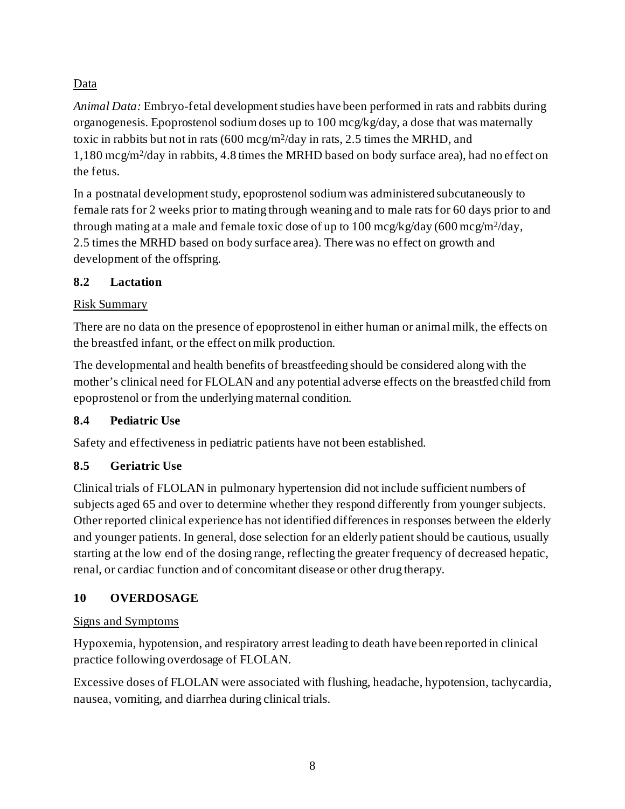# Data

*Animal Data:* Embryo-fetal development studies have been performed in rats and rabbits during organogenesis. Epoprostenol sodium doses up to 100 mcg/kg/day, a dose that was maternally toxic in rabbits but not in rats (600 mcg/m2/day in rats, 2.5 times the MRHD, and 1,180 mcg/m2/day in rabbits, 4.8 times the MRHD based on body surface area), had no effect on the fetus.

In a postnatal development study, epoprostenol sodium was administered subcutaneously to female rats for 2 weeks prior to mating through weaning and to male rats for 60 days prior to and through mating at a male and female toxic dose of up to 100 mcg/kg/day (600 mcg/m<sup>2</sup>/day, 2.5 times the MRHD based on body surface area). There was no effect on growth and development of the offspring.

## <span id="page-7-0"></span>**8.2 Lactation**

## Risk Summary

There are no data on the presence of epoprostenol in either human or animal milk, the effects on the breastfed infant, or the effect on milk production.

The developmental and health benefits of breastfeeding should be considered along with the mother's clinical need for FLOLAN and any potential adverse effects on the breastfed child from epoprostenol or from the underlying maternal condition.

## <span id="page-7-1"></span>**8.4 Pediatric Use**

Safety and effectiveness in pediatric patients have not been established.

## <span id="page-7-2"></span>**8.5 Geriatric Use**

Clinical trials of FLOLAN in pulmonary hypertension did not include sufficient numbers of subjects aged 65 and over to determine whether they respond differently from younger subjects. Other reported clinical experience has not identified differences in responses between the elderly and younger patients. In general, dose selection for an elderly patient should be cautious, usually starting at the low end of the dosing range, reflecting the greater frequency of decreased hepatic, renal, or cardiac function and of concomitant disease or other drug therapy.

## <span id="page-7-3"></span>**10 OVERDOSAGE**

## Signs and Symptoms

Hypoxemia, hypotension, and respiratory arrest leading to death have been reported in clinical practice following overdosage of FLOLAN.

Excessive doses of FLOLAN were associated with flushing, headache, hypotension, tachycardia, nausea, vomiting, and diarrhea during clinical trials.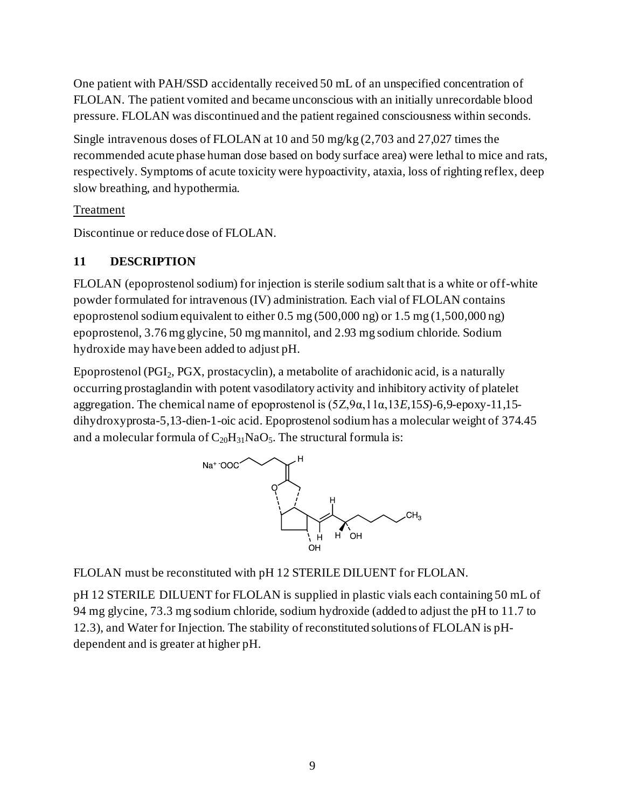One patient with PAH/SSD accidentally received 50 mL of an unspecified concentration of FLOLAN. The patient vomited and became unconscious with an initially unrecordable blood pressure. FLOLAN was discontinued and the patient regained consciousness within seconds.

Single intravenous doses of FLOLAN at 10 and 50 mg/kg (2,703 and 27,027 times the recommended acute phase human dose based on body surface area) were lethal to mice and rats, respectively. Symptoms of acute toxicity were hypoactivity, ataxia, loss of righting reflex, deep slow breathing, and hypothermia.

#### Treatment

<span id="page-8-0"></span>Discontinue or reduce dose of FLOLAN.

#### **11 DESCRIPTION**

FLOLAN (epoprostenol sodium) for injection is sterile sodium salt that is a white or off-white powder formulated for intravenous (IV) administration. Each vial of FLOLAN contains epoprostenol sodium equivalent to either 0.5 mg (500,000 ng) or 1.5 mg (1,500,000 ng) epoprostenol, 3.76 mg glycine, 50 mg mannitol, and 2.93 mg sodium chloride. Sodium hydroxide may have been added to adjust pH.

Epoprostenol (PGI2, PGX, prostacyclin), a metabolite of arachidonic acid, is a naturally occurring prostaglandin with potent vasodilatory activity and inhibitory activity of platelet aggregation. The chemical name of epoprostenol is (5Z,9α,11α,13*E*,15*S*)-6,9-epoxy-11,15 dihydroxyprosta-5,13-dien-1-oic acid. Epoprostenol sodium has a molecular weight of 374.45 and a molecular formula of  $C_{20}H_{31}NaO_5$ . The structural formula is:



FLOLAN must be reconstituted with pH 12 STERILE DILUENT for FLOLAN.

pH 12 STERILE DILUENT for FLOLAN is supplied in plastic vials each containing 50 mL of 94 mg glycine, 73.3 mg sodium chloride, sodium hydroxide (added to adjust the pH to 11.7 to 12.3), and Water for Injection. The stability of reconstituted solutions of FLOLAN is pHdependent and is greater at higher pH.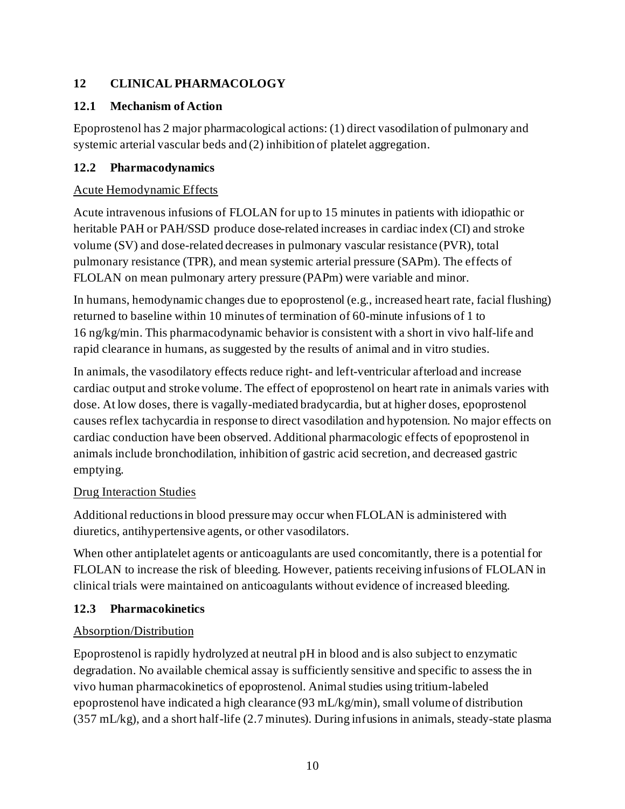## <span id="page-9-0"></span>**12 CLINICAL PHARMACOLOGY**

## <span id="page-9-1"></span>**12.1 Mechanism of Action**

Epoprostenol has 2 major pharmacological actions: (1) direct vasodilation of pulmonary and systemic arterial vascular beds and (2) inhibition of platelet aggregation.

## <span id="page-9-2"></span>**12.2 Pharmacodynamics**

### Acute Hemodynamic Effects

Acute intravenous infusions of FLOLAN for up to 15 minutes in patients with idiopathic or heritable PAH or PAH/SSD produce dose-related increases in cardiac index (CI) and stroke volume (SV) and dose-related decreases in pulmonary vascular resistance (PVR), total pulmonary resistance (TPR), and mean systemic arterial pressure (SAPm). The effects of FLOLAN on mean pulmonary artery pressure (PAPm) were variable and minor.

In humans, hemodynamic changes due to epoprostenol (e.g., increased heart rate, facial flushing) returned to baseline within 10 minutes of termination of 60-minute infusions of 1 to 16 ng/kg/min. This pharmacodynamic behavior is consistent with a short in vivo half-life and rapid clearance in humans, as suggested by the results of animal and in vitro studies.

In animals, the vasodilatory effects reduce right- and left-ventricular afterload and increase cardiac output and stroke volume. The effect of epoprostenol on heart rate in animals varies with dose. At low doses, there is vagally-mediated bradycardia, but at higher doses, epoprostenol causes reflex tachycardia in response to direct vasodilation and hypotension. No major effects on cardiac conduction have been observed. Additional pharmacologic effects of epoprostenol in animals include bronchodilation, inhibition of gastric acid secretion, and decreased gastric emptying.

## Drug Interaction Studies

Additional reductions in blood pressure may occur when FLOLAN is administered with diuretics, antihypertensive agents, or other vasodilators.

When other antiplatelet agents or anticoagulants are used concomitantly, there is a potential for FLOLAN to increase the risk of bleeding. However, patients receiving infusions of FLOLAN in clinical trials were maintained on anticoagulants without evidence of increased bleeding.

## <span id="page-9-3"></span>**12.3 Pharmacokinetics**

## Absorption/Distribution

Epoprostenol is rapidly hydrolyzed at neutral pH in blood and is also subject to enzymatic degradation. No available chemical assay is sufficiently sensitive and specific to assess the in vivo human pharmacokinetics of epoprostenol. Animal studies using tritium-labeled epoprostenol have indicated a high clearance (93 mL/kg/min), small volume of distribution (357 mL/kg), and a short half-life (2.7 minutes). During infusions in animals, steady-state plasma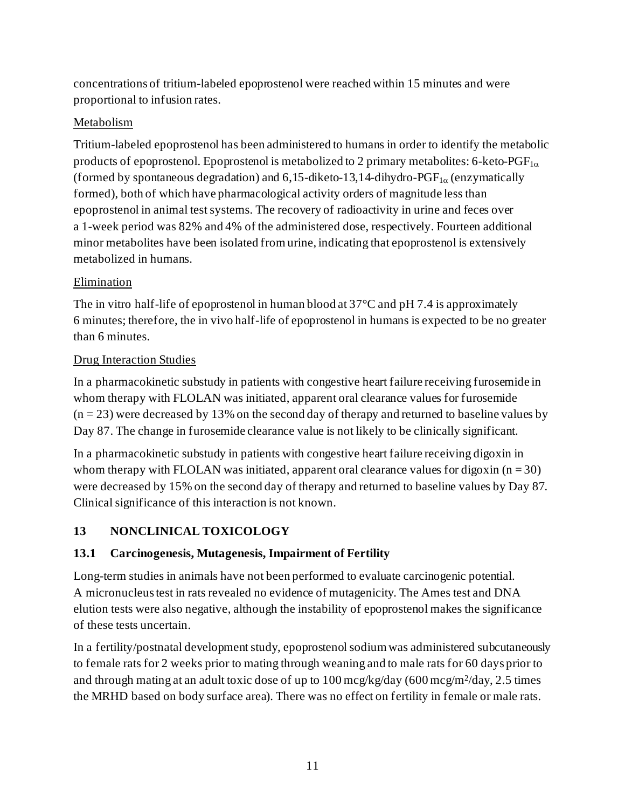concentrations of tritium-labeled epoprostenol were reached within 15 minutes and were proportional to infusion rates.

#### Metabolism

Tritium-labeled epoprostenol has been administered to humans in order to identify the metabolic products of epoprostenol. Epoprostenol is metabolized to 2 primary metabolites: 6-keto- $\text{PGF}_{1\alpha}$ (formed by spontaneous degradation) and 6,15-diketo-13,14-dihydro-PGF<sub>1 $\alpha$ </sub> (enzymatically formed), both of which have pharmacological activity orders of magnitude less than epoprostenol in animal test systems. The recovery of radioactivity in urine and feces over a 1-week period was 82% and 4% of the administered dose, respectively. Fourteen additional minor metabolites have been isolated from urine, indicating that epoprostenol is extensively metabolized in humans.

#### Elimination

The in vitro half-life of epoprostenol in human blood at 37<sup>o</sup>C and pH 7.4 is approximately 6 minutes; therefore, the in vivo half-life of epoprostenol in humans is expected to be no greater than 6 minutes.

#### Drug Interaction Studies

In a pharmacokinetic substudy in patients with congestive heart failure receiving furosemide in whom therapy with FLOLAN was initiated, apparent oral clearance values for furosemide  $(n = 23)$  were decreased by 13% on the second day of therapy and returned to baseline values by Day 87. The change in furosemide clearance value is not likely to be clinically significant.

In a pharmacokinetic substudy in patients with congestive heart failure receiving digoxin in whom therapy with FLOLAN was initiated, apparent oral clearance values for digoxin  $(n = 30)$ were decreased by 15% on the second day of therapy and returned to baseline values by Day 87. Clinical significance of this interaction is not known.

## <span id="page-10-0"></span>**13 NONCLINICAL TOXICOLOGY**

#### <span id="page-10-1"></span>**13.1 Carcinogenesis, Mutagenesis, Impairment of Fertility**

Long-term studies in animals have not been performed to evaluate carcinogenic potential. A micronucleus test in rats revealed no evidence of mutagenicity. The Ames test and DNA elution tests were also negative, although the instability of epoprostenol makes the significance of these tests uncertain.

In a fertility/postnatal development study, epoprostenol sodiumwas administered subcutaneously to female rats for 2 weeks prior to mating through weaning and to male rats for 60 days prior to and through mating at an adult toxic dose of up to  $100 \text{~mcg/kg/day}$  (600 mcg/m<sup>2</sup>/day, 2.5 times the MRHD based on body surface area). There was no effect on fertility in female or male rats.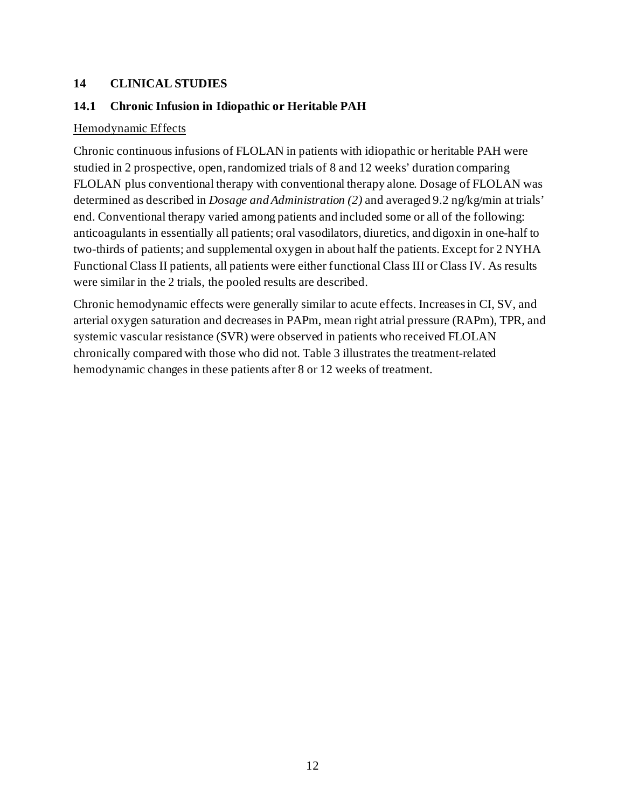#### <span id="page-11-0"></span>**14 CLINICAL STUDIES**

#### <span id="page-11-1"></span>**14.1 Chronic Infusion in Idiopathic or Heritable PAH**

#### Hemodynamic Effects

Chronic continuous infusions of FLOLAN in patients with idiopathic or heritable PAH were studied in 2 prospective, open, randomized trials of 8 and 12 weeks' duration comparing FLOLAN plus conventional therapy with conventional therapy alone. Dosage of FLOLAN was determined as described in *Dosage and Administration (2)* and averaged 9.2 ng/kg/min at trials' end. Conventional therapy varied among patients and included some or all of the following: anticoagulants in essentially all patients; oral vasodilators, diuretics, and digoxin in one-half to two-thirds of patients; and supplemental oxygen in about half the patients. Except for 2 NYHA Functional Class II patients, all patients were either functional Class III or Class IV. As results were similar in the 2 trials, the pooled results are described.

Chronic hemodynamic effects were generally similar to acute effects. Increases in CI, SV, and arterial oxygen saturation and decreases in PAPm, mean right atrial pressure (RAPm), TPR, and systemic vascular resistance (SVR) were observed in patients who received FLOLAN chronically compared with those who did not. Table 3 illustrates the treatment-related hemodynamic changes in these patients after 8 or 12 weeks of treatment.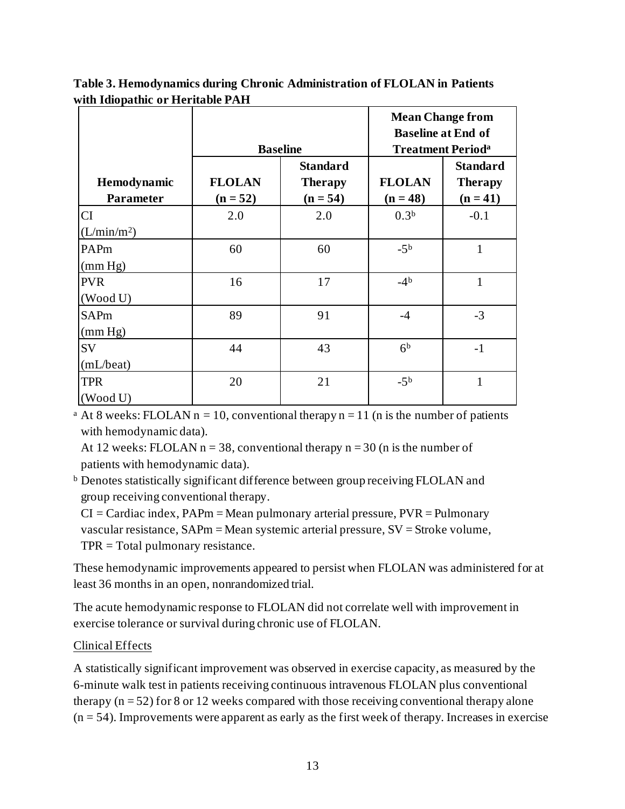|                                      | <b>Baseline</b>             |                                                 | <b>Mean Change from</b><br><b>Baseline at End of</b><br><b>Treatment Period</b> <sup>a</sup> |                                                 |  |
|--------------------------------------|-----------------------------|-------------------------------------------------|----------------------------------------------------------------------------------------------|-------------------------------------------------|--|
| Hemodynamic<br><b>Parameter</b>      | <b>FLOLAN</b><br>$(n = 52)$ | <b>Standard</b><br><b>Therapy</b><br>$(n = 54)$ | <b>FLOLAN</b><br>$(n = 48)$                                                                  | <b>Standard</b><br><b>Therapy</b><br>$(n = 41)$ |  |
| <b>CI</b><br>(L/min/m <sup>2</sup> ) | 2.0                         | 2.0                                             | 0.3 <sup>b</sup>                                                                             | $-0.1$                                          |  |
| PAPm<br>(mm Hg)                      | 60                          | 60                                              | $-5b$                                                                                        | 1                                               |  |
| <b>PVR</b><br>(Wood U)               | 16                          | 17                                              | $-4b$                                                                                        | 1                                               |  |
| <b>SAPm</b><br>(mm Hg)               | 89                          | 91                                              | $-4$                                                                                         | $-3$                                            |  |
| SV<br>(mL/beat)                      | 44                          | 43                                              | 6 <sup>b</sup>                                                                               | $-1$                                            |  |
| <b>TPR</b><br>(Wood U)               | 20                          | 21                                              | $-5b$                                                                                        | 1                                               |  |

**Table 3. Hemodynamics during Chronic Administration of FLOLAN in Patients with Idiopathic or Heritable PAH**

<sup>a</sup> At 8 weeks: FLOLAN  $n = 10$ , conventional therapy  $n = 11$  (n is the number of patients with hemodynamic data).

At 12 weeks: FLOLAN  $n = 38$ , conventional therapy  $n = 30$  (n is the number of patients with hemodynamic data).

<sup>b</sup> Denotes statistically significant difference between group receiving FLOLAN and group receiving conventional therapy.

 $CI = Cardiac index$ ,  $PAPm = Mean$  pulmonary arterial pressure,  $PVR = Pulmonary$ vascular resistance, SAPm = Mean systemic arterial pressure, SV = Stroke volume, TPR = Total pulmonary resistance.

These hemodynamic improvements appeared to persist when FLOLAN was administered for at least 36 months in an open, nonrandomized trial.

The acute hemodynamic response to FLOLAN did not correlate well with improvement in exercise tolerance or survival during chronic use of FLOLAN.

## Clinical Effects

A statistically significant improvement was observed in exercise capacity, as measured by the 6-minute walk test in patients receiving continuous intravenous FLOLAN plus conventional therapy  $(n = 52)$  for 8 or 12 weeks compared with those receiving conventional therapy alone  $(n = 54)$ . Improvements were apparent as early as the first week of therapy. Increases in exercise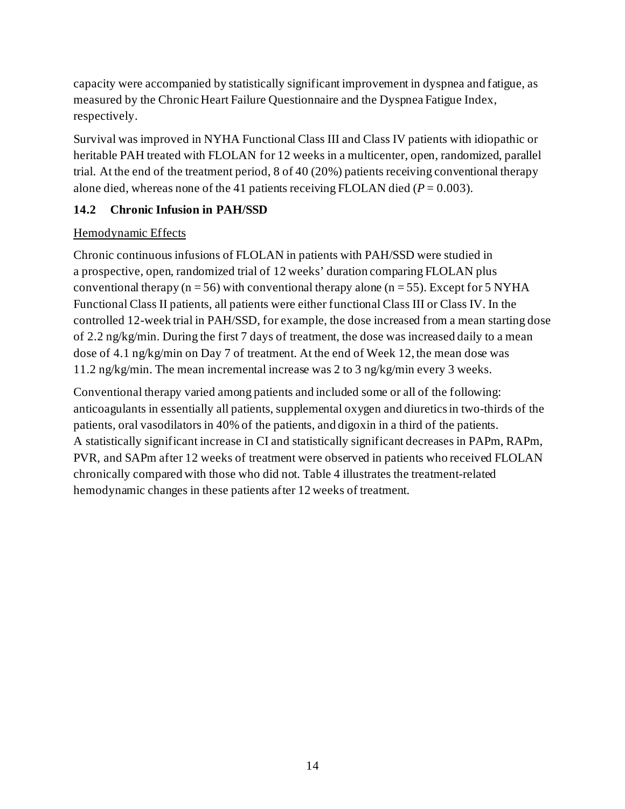capacity were accompanied by statistically significant improvement in dyspnea and fatigue, as measured by the Chronic Heart Failure Questionnaire and the Dyspnea Fatigue Index, respectively.

Survival was improved in NYHA Functional Class III and Class IV patients with idiopathic or heritable PAH treated with FLOLAN for 12 weeks in a multicenter, open, randomized, parallel trial. At the end of the treatment period, 8 of 40 (20%) patients receiving conventional therapy alone died, whereas none of the 41 patients receiving FLOLAN died  $(P = 0.003)$ .

## <span id="page-13-0"></span>**14.2 Chronic Infusion in PAH/SSD**

#### Hemodynamic Effects

Chronic continuous infusions of FLOLAN in patients with PAH/SSD were studied in a prospective, open, randomized trial of 12 weeks' duration comparing FLOLAN plus conventional therapy ( $n = 56$ ) with conventional therapy alone ( $n = 55$ ). Except for 5 NYHA Functional Class II patients, all patients were either functional Class III or Class IV. In the controlled 12-week trial in PAH/SSD, for example, the dose increased from a mean starting dose of 2.2 ng/kg/min. During the first 7 days of treatment, the dose was increased daily to a mean dose of 4.1 ng/kg/min on Day 7 of treatment. At the end of Week 12, the mean dose was 11.2 ng/kg/min. The mean incremental increase was 2 to 3 ng/kg/min every 3 weeks.

Conventional therapy varied among patients and included some or all of the following: anticoagulants in essentially all patients, supplemental oxygen and diuretics in two-thirds of the patients, oral vasodilators in 40% of the patients, and digoxin in a third of the patients. A statistically significant increase in CI and statistically significant decreases in PAPm, RAPm, PVR, and SAPm after 12 weeks of treatment were observed in patients who received FLOLAN chronically compared with those who did not. Table 4 illustrates the treatment-related hemodynamic changes in these patients after 12 weeks of treatment.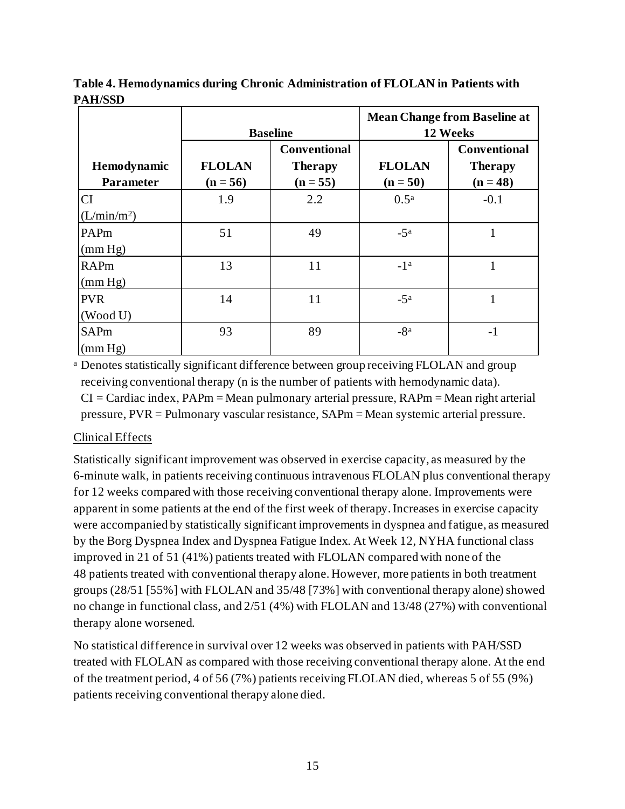|                         |                 |                     | <b>Mean Change from Baseline at</b> |                     |  |
|-------------------------|-----------------|---------------------|-------------------------------------|---------------------|--|
|                         | <b>Baseline</b> |                     | 12 Weeks                            |                     |  |
|                         |                 | <b>Conventional</b> |                                     | <b>Conventional</b> |  |
| Hemodynamic             | <b>FLOLAN</b>   | <b>Therapy</b>      | <b>FLOLAN</b>                       | <b>Therapy</b>      |  |
| <b>Parameter</b>        | $(n = 56)$      | $(n = 55)$          | $(n = 50)$                          | $(n = 48)$          |  |
| <b>CI</b>               | 1.9             | 2.2                 | 0.5 <sup>a</sup>                    | $-0.1$              |  |
| (L/min/m <sup>2</sup> ) |                 |                     |                                     |                     |  |
| PAPm                    | 51              | 49                  | $-5^{\rm a}$                        | 1                   |  |
| (mm Hg)                 |                 |                     |                                     |                     |  |
| <b>RAPm</b>             | 13              | 11                  | $-1^a$                              |                     |  |
| (mm Hg)                 |                 |                     |                                     |                     |  |
| <b>PVR</b>              | 14              | 11                  | $-5^{\rm a}$                        |                     |  |
| (Wood U)                |                 |                     |                                     |                     |  |
| <b>SAPm</b>             | 93              | 89                  | $-8a$                               | $-1$                |  |
| (mm Hg)                 |                 |                     |                                     |                     |  |

**Table 4. Hemodynamics during Chronic Administration of FLOLAN in Patients with PAH/SSD**

<sup>a</sup> Denotes statistically significant difference between group receiving FLOLAN and group receiving conventional therapy (n is the number of patients with hemodynamic data).  $CI = Cardiac index$ ,  $PAPm = Mean$  pulmonary arterial pressure,  $RAPm = Mean$  right arterial pressure, PVR = Pulmonary vascular resistance, SAPm = Mean systemic arterial pressure.

#### Clinical Effects

Statistically significant improvement was observed in exercise capacity, as measured by the 6-minute walk, in patients receiving continuous intravenous FLOLAN plus conventional therapy for 12 weeks compared with those receiving conventional therapy alone. Improvements were apparent in some patients at the end of the first week of therapy. Increases in exercise capacity were accompanied by statistically significant improvements in dyspnea and fatigue, as measured by the Borg Dyspnea Index and Dyspnea Fatigue Index. At Week 12, NYHA functional class improved in 21 of 51 (41%) patients treated with FLOLAN compared with none of the 48 patients treated with conventional therapy alone. However, more patients in both treatment groups (28/51 [55%] with FLOLAN and 35/48 [73%] with conventional therapy alone) showed no change in functional class, and 2/51 (4%) with FLOLAN and 13/48 (27%) with conventional therapy alone worsened.

No statistical difference in survival over 12 weeks was observed in patients with PAH/SSD treated with FLOLAN as compared with those receiving conventional therapy alone. At the end of the treatment period, 4 of 56 (7%) patients receiving FLOLAN died, whereas 5 of 55 (9%) patients receiving conventional therapy alone died.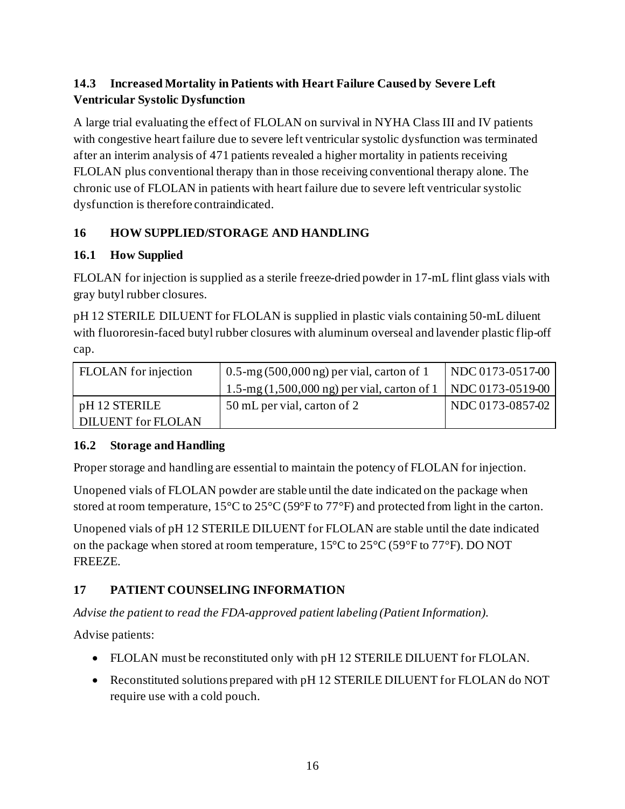## <span id="page-15-0"></span>**14.3 Increased Mortality in Patients with Heart Failure Caused by Severe Left Ventricular Systolic Dysfunction**

A large trial evaluating the effect of FLOLAN on survival in NYHA Class III and IV patients with congestive heart failure due to severe left ventricular systolic dysfunction was terminated after an interim analysis of 471 patients revealed a higher mortality in patients receiving FLOLAN plus conventional therapy than in those receiving conventional therapy alone. The chronic use of FLOLAN in patients with heart failure due to severe left ventricular systolic dysfunction is therefore contraindicated.

## <span id="page-15-1"></span>**16 HOW SUPPLIED/STORAGE AND HANDLING**

## <span id="page-15-2"></span>**16.1 How Supplied**

FLOLAN for injection is supplied as a sterile freeze-dried powder in 17-mL flint glass vials with gray butyl rubber closures.

pH 12 STERILE DILUENT for FLOLAN is supplied in plastic vials containing 50-mL diluent with fluororesin-faced butyl rubber closures with aluminum overseal and lavender plastic flip-off cap.

| <b>FLOLAN</b> for injection | $0.5$ -mg (500,000 ng) per vial, carton of 1                             | NDC 0173-0517-00 |
|-----------------------------|--------------------------------------------------------------------------|------------------|
|                             | 1.5-mg $(1,500,000 \text{ ng})$ per vial, carton of 1   NDC 0173-0519-00 |                  |
| $pH$ 12 STERILE             | 50 mL per vial, carton of 2                                              | NDC 0173-0857-02 |
| <b>DILUENT</b> for FLOLAN   |                                                                          |                  |

## <span id="page-15-3"></span>**16.2 Storage and Handling**

Proper storage and handling are essential to maintain the potency of FLOLAN for injection.

Unopened vials of FLOLAN powder are stable until the date indicated on the package when stored at room temperature, 15°C to 25°C (59°F to 77°F) and protected from light in the carton.

Unopened vials of pH 12 STERILE DILUENT for FLOLAN are stable until the date indicated on the package when stored at room temperature, 15°C to 25°C (59°F to 77°F). DO NOT FREEZE.

## <span id="page-15-4"></span>**17 PATIENT COUNSELING INFORMATION**

*Advise the patient to read the FDA-approved patient labeling (Patient Information).*

Advise patients:

- FLOLAN must be reconstituted only with pH 12 STERILE DILUENT for FLOLAN.
- Reconstituted solutions prepared with pH 12 STERILE DILUENT for FLOLAN do NOT require use with a cold pouch.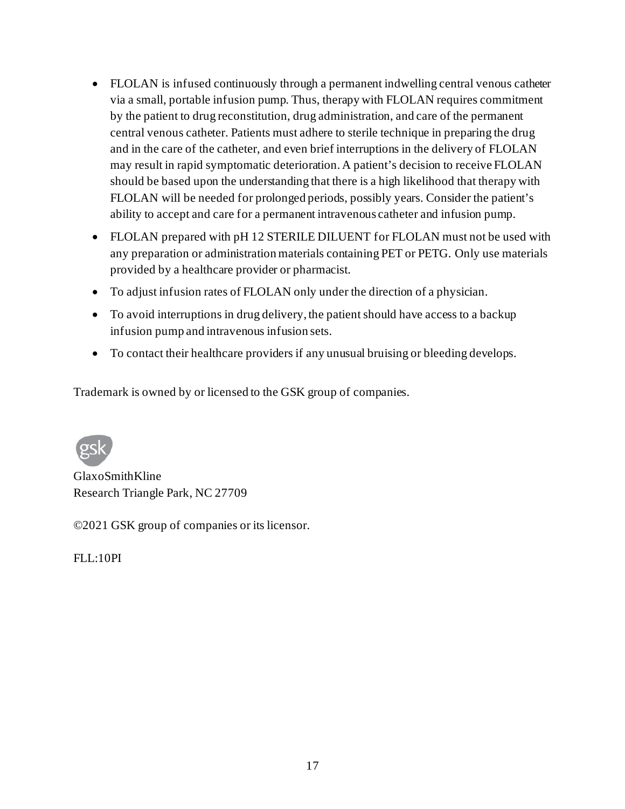- FLOLAN is infused continuously through a permanent indwelling central venous catheter via a small, portable infusion pump. Thus, therapy with FLOLAN requires commitment by the patient to drug reconstitution, drug administration, and care of the permanent central venous catheter. Patients must adhere to sterile technique in preparing the drug and in the care of the catheter, and even brief interruptions in the delivery of FLOLAN may result in rapid symptomatic deterioration. A patient's decision to receive FLOLAN should be based upon the understanding that there is a high likelihood that therapy with FLOLAN will be needed for prolonged periods, possibly years. Consider the patient's ability to accept and care for a permanent intravenous catheter and infusion pump.
- FLOLAN prepared with pH 12 STERILE DILUENT for FLOLAN must not be used with any preparation or administration materials containing PET or PETG. Only use materials provided by a healthcare provider or pharmacist.
- To adjust infusion rates of FLOLAN only under the direction of a physician.
- To avoid interruptions in drug delivery, the patient should have access to a backup infusion pump and intravenous infusion sets.
- To contact their healthcare providers if any unusual bruising or bleeding develops.

Trademark is owned by or licensed to the GSK group of companies.



GlaxoSmithKline Research Triangle Park, NC 27709

©2021 GSK group of companies or its licensor.

 $FL:10PI$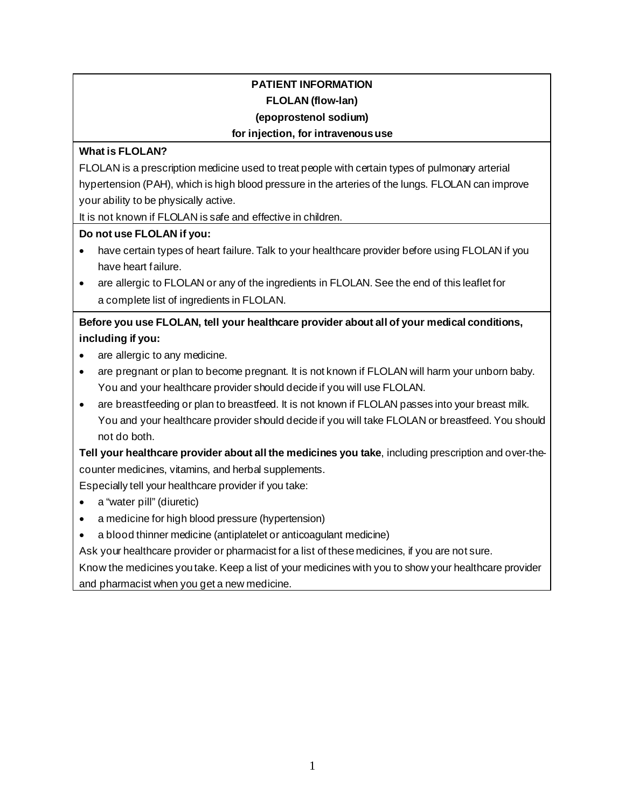# **PATIENT INFORMATION FLOLAN (flow-lan)**

#### **(epoprostenol sodium)**

#### **for injection, for intravenous use**

#### **What is FLOLAN?**

FLOLAN is a prescription medicine used to treat people with certain types of pulmonary arterial hypertension (PAH), which is high blood pressure in the arteries of the lungs. FLOLAN can improve your ability to be physically active.

It is not known if FLOLAN is safe and effective in children.

#### **Do not use FLOLAN if you:**

- have certain types of heart failure. Talk to your healthcare provider before using FLOLAN if you have heart failure.
- are allergic to FLOLAN or any of the ingredients in FLOLAN. See the end of this leaflet for a complete list of ingredients in FLOLAN.

**Before you use FLOLAN, tell your healthcare provider about all of your medical conditions, including if you:**

- are allergic to any medicine.
- are pregnant or plan to become pregnant. It is not known if FLOLAN will harm your unborn baby. You and your healthcare provider should decide if you will use FLOLAN.
- are breastfeeding or plan to breastfeed. It is not known if FLOLAN passes into your breast milk. You and your healthcare provider should decide if you will take FLOLAN or breastfeed. You should not do both.

**Tell your healthcare provider about all the medicines you take**, including prescription and over-thecounter medicines, vitamins, and herbal supplements.

Especially tell your healthcare provider if you take:

- a "water pill" (diuretic)
- a medicine for high blood pressure (hypertension)
- a blood thinner medicine (antiplatelet or anticoagulant medicine)

Ask your healthcare provider or pharmacist for a list of these medicines, if you are not sure.

Know the medicines you take. Keep a list of your medicines with you to show your healthcare provider and pharmacist when you get a new medicine.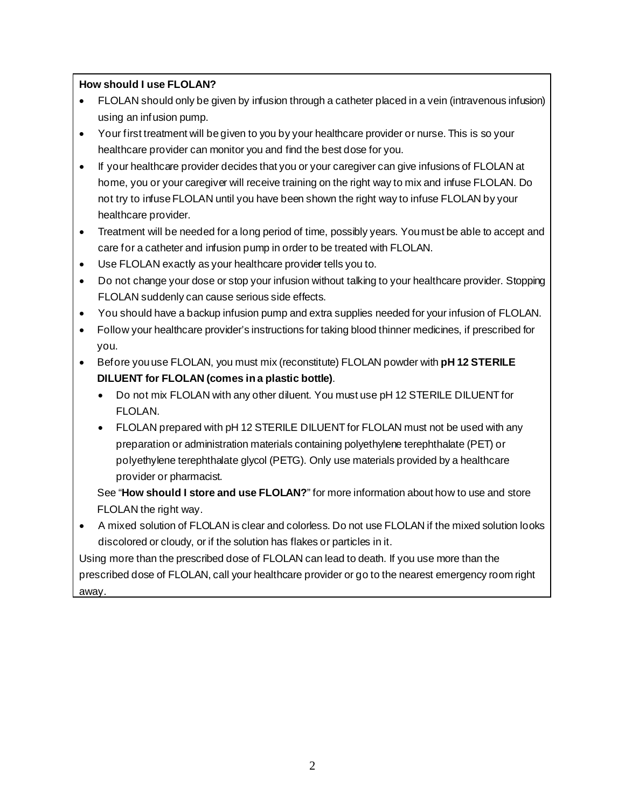#### **How should I use FLOLAN?**

- FLOLAN should only be given by infusion through a catheter placed in a vein (intravenous infusion) using an infusion pump.
- Your first treatment will be given to you by your healthcare provider or nurse. This is so your healthcare provider can monitor you and find the best dose for you.
- If your healthcare provider decides that you or your caregiver can give infusions of FLOLAN at home, you or your caregiver will receive training on the right way to mix and infuse FLOLAN. Do not try to infuse FLOLAN until you have been shown the right way to infuse FLOLAN by your healthcare provider.
- Treatment will be needed for a long period of time, possibly years. You must be able to accept and care for a catheter and infusion pump in order to be treated with FLOLAN.
- Use FLOLAN exactly as your healthcare provider tells you to.
- Do not change your dose or stop your infusion without talking to your healthcare provider. Stopping FLOLAN suddenly can cause serious side effects.
- You should have a backup infusion pump and extra supplies needed for your infusion of FLOLAN.
- Follow your healthcare provider's instructions for taking blood thinner medicines, if prescribed for you.
- Before you use FLOLAN, you must mix (reconstitute) FLOLAN powder with **pH 12 STERILE DILUENT for FLOLAN (comes in a plastic bottle)**.
	- Do not mix FLOLAN with any other diluent. You must use pH 12 STERILE DILUENT for FLOLAN.
	- FLOLAN prepared with pH 12 STERILE DILUENT for FLOLAN must not be used with any preparation or administration materials containing polyethylene terephthalate (PET) or polyethylene terephthalate glycol (PETG). Only use materials provided by a healthcare provider or pharmacist.

See "**How should I store and use FLOLAN?**" for more information about how to use and store FLOLAN the right way.

• A mixed solution of FLOLAN is clear and colorless. Do not use FLOLAN if the mixed solution looks discolored or cloudy, or if the solution has flakes or particles in it.

Using more than the prescribed dose of FLOLAN can lead to death. If you use more than the prescribed dose of FLOLAN, call your healthcare provider or go to the nearest emergency room right away.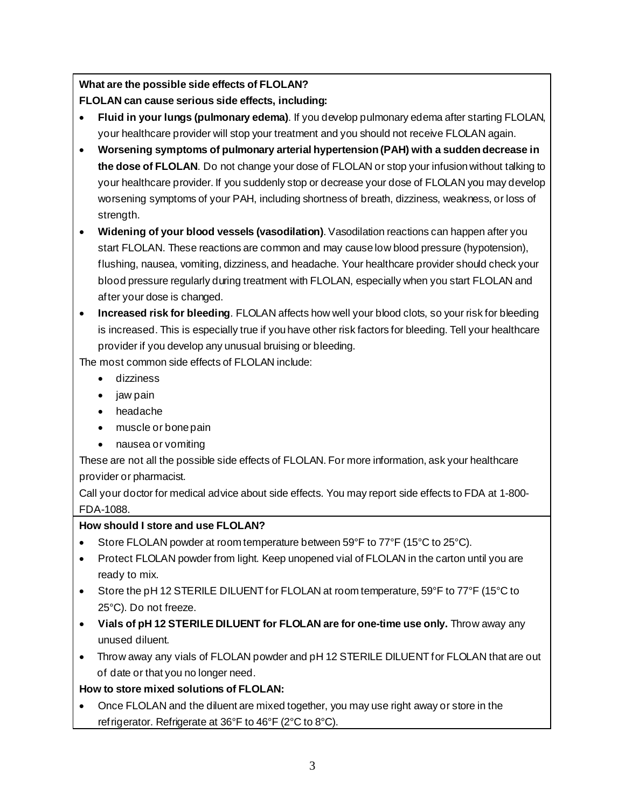**What are the possible side effects of FLOLAN?**

**FLOLAN can cause serious side effects, including:**

- **Fluid in your lungs (pulmonary edema)**. If you develop pulmonary edema after starting FLOLAN, your healthcare provider will stop your treatment and you should not receive FLOLAN again.
- **Worsening symptoms of pulmonary arterial hypertension (PAH) with a sudden decrease in the dose of FLOLAN**. Do not change your dose of FLOLAN or stop your infusion without talking to your healthcare provider. If you suddenly stop or decrease your dose of FLOLAN you may develop worsening symptoms of your PAH, including shortness of breath, dizziness, weakness, or loss of strength.
- **Widening of your blood vessels (vasodilation)**. Vasodilation reactions can happen after you start FLOLAN. These reactions are common and may cause low blood pressure (hypotension), flushing, nausea, vomiting, dizziness, and headache. Your healthcare provider should check your blood pressure regularly during treatment with FLOLAN, especially when you start FLOLAN and after your dose is changed.
- **Increased risk for bleeding**. FLOLAN affects how well your blood clots, so your risk for bleeding is increased. This is especially true if you have other risk factors for bleeding. Tell your healthcare provider if you develop any unusual bruising or bleeding.

The most common side effects of FLOLAN include:

- dizziness
- jaw pain
- headache
- muscle or bone pain
- nausea or vomiting

These are not all the possible side effects of FLOLAN. For more information, ask your healthcare provider or pharmacist.

Call your doctor for medical advice about side effects. You may report side effects to FDA at 1-800- FDA-1088.

## **How should I store and use FLOLAN?**

- Store FLOLAN powder at room temperature between 59°F to 77°F (15°C to 25°C).
- Protect FLOLAN powder from light. Keep unopened vial of FLOLAN in the carton until you are ready to mix.
- Store the pH 12 STERILE DILUENT for FLOLAN at room temperature, 59°F to 77°F (15°C to 25°C). Do not freeze.
- **Vials of pH 12 STERILE DILUENT for FLOLAN are for one-time use only.** Throw away any unused diluent.
- Throw away any vials of FLOLAN powder and pH 12 STERILE DILUENT for FLOLAN that are out of date or that you no longer need.

## **How to store mixed solutions of FLOLAN:**

• Once FLOLAN and the diluent are mixed together, you may use right away or store in the refrigerator. Refrigerate at 36°F to 46°F (2°C to 8°C).